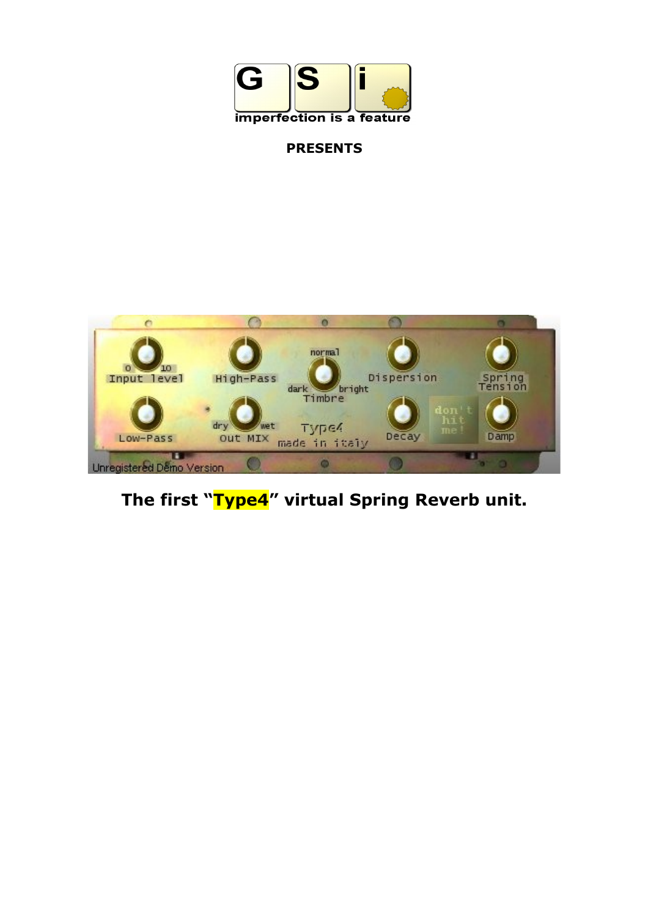

# **PRESENTS**



**The first "Type4" virtual Spring Reverb unit.**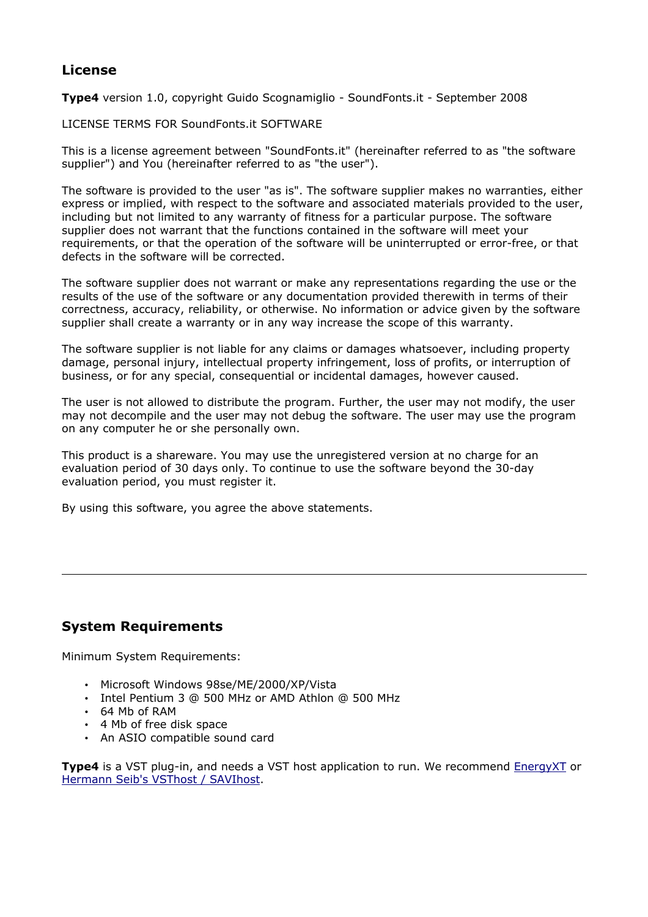### **License**

**Type4** version 1.0, copyright Guido Scognamiglio - SoundFonts.it - September 2008

LICENSE TERMS FOR SoundFonts.it SOFTWARE

This is a license agreement between "SoundFonts.it" (hereinafter referred to as "the software supplier") and You (hereinafter referred to as "the user").

The software is provided to the user "as is". The software supplier makes no warranties, either express or implied, with respect to the software and associated materials provided to the user, including but not limited to any warranty of fitness for a particular purpose. The software supplier does not warrant that the functions contained in the software will meet your requirements, or that the operation of the software will be uninterrupted or error-free, or that defects in the software will be corrected.

The software supplier does not warrant or make any representations regarding the use or the results of the use of the software or any documentation provided therewith in terms of their correctness, accuracy, reliability, or otherwise. No information or advice given by the software supplier shall create a warranty or in any way increase the scope of this warranty.

The software supplier is not liable for any claims or damages whatsoever, including property damage, personal injury, intellectual property infringement, loss of profits, or interruption of business, or for any special, consequential or incidental damages, however caused.

The user is not allowed to distribute the program. Further, the user may not modify, the user may not decompile and the user may not debug the software. The user may use the program on any computer he or she personally own.

This product is a shareware. You may use the unregistered version at no charge for an evaluation period of 30 days only. To continue to use the software beyond the 30-day evaluation period, you must register it.

By using this software, you agree the above statements.

### **System Requirements**

Minimum System Requirements:

- Microsoft Windows 98se/ME/2000/XP/Vista
- Intel Pentium 3 @ 500 MHz or AMD Athlon @ 500 MHz
- 64 Mb of RAM
- 4 Mb of free disk space
- An ASIO compatible sound card

**Type4** is a VST plug-in, and needs a VST host application to run. We recommend **EnergyXT** or [Hermann Seib's VSThost / SAVIhost.](http://www.hermannseib.com/english/vsthost.htm)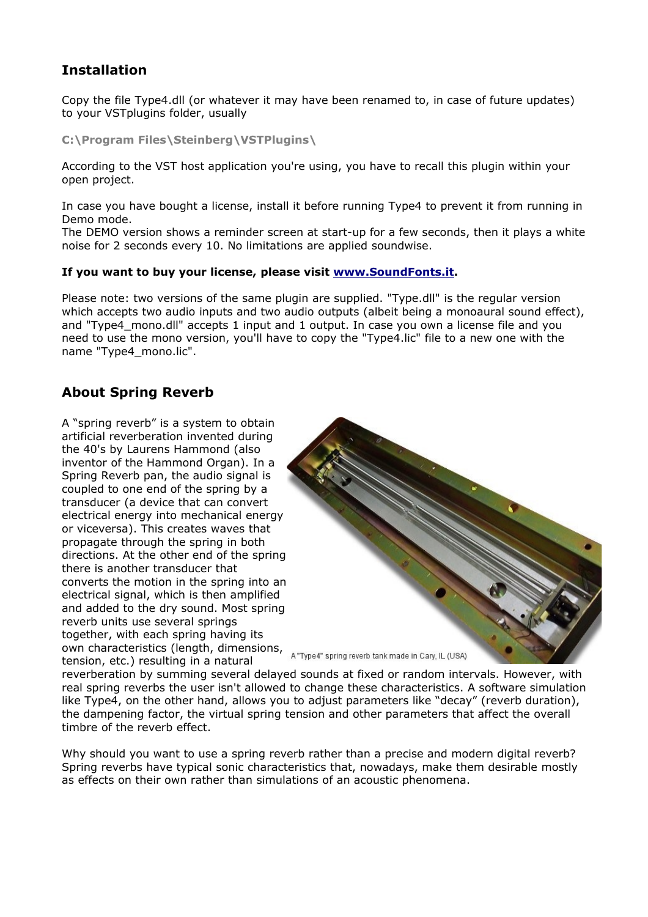### **Installation**

Copy the file Type4.dll (or whatever it may have been renamed to, in case of future updates) to your VSTplugins folder, usually

**C:\Program Files\Steinberg\VSTPlugins\**

According to the VST host application you're using, you have to recall this plugin within your open project.

In case you have bought a license, install it before running Type4 to prevent it from running in Demo mode.

The DEMO version shows a reminder screen at start-up for a few seconds, then it plays a white noise for 2 seconds every 10. No limitations are applied soundwise.

#### **If you want to buy your license, please visit [www.SoundFonts.it.](http://www.soundfonts.it/)**

Please note: two versions of the same plugin are supplied. "Type.dll" is the regular version which accepts two audio inputs and two audio outputs (albeit being a monoaural sound effect), and "Type4\_mono.dll" accepts 1 input and 1 output. In case you own a license file and you need to use the mono version, you'll have to copy the "Type4.lic" file to a new one with the name "Type4\_mono.lic".

### **About Spring Reverb**

A "spring reverb" is a system to obtain artificial reverberation invented during the 40's by Laurens Hammond (also inventor of the Hammond Organ). In a Spring Reverb pan, the audio signal is coupled to one end of the spring by a transducer (a device that can convert electrical energy into mechanical energy or viceversa). This creates waves that propagate through the spring in both directions. At the other end of the spring there is another transducer that converts the motion in the spring into an electrical signal, which is then amplified and added to the dry sound. Most spring reverb units use several springs together, with each spring having its own characteristics (length, dimensions, A "Type4" spring reverb tank made in Cary, IL (USA) tension, etc.) resulting in a natural



reverberation by summing several delayed sounds at fixed or random intervals. However, with real spring reverbs the user isn't allowed to change these characteristics. A software simulation like Type4, on the other hand, allows you to adjust parameters like "decay" (reverb duration), the dampening factor, the virtual spring tension and other parameters that affect the overall timbre of the reverb effect.

Why should you want to use a spring reverb rather than a precise and modern digital reverb? Spring reverbs have typical sonic characteristics that, nowadays, make them desirable mostly as effects on their own rather than simulations of an acoustic phenomena.